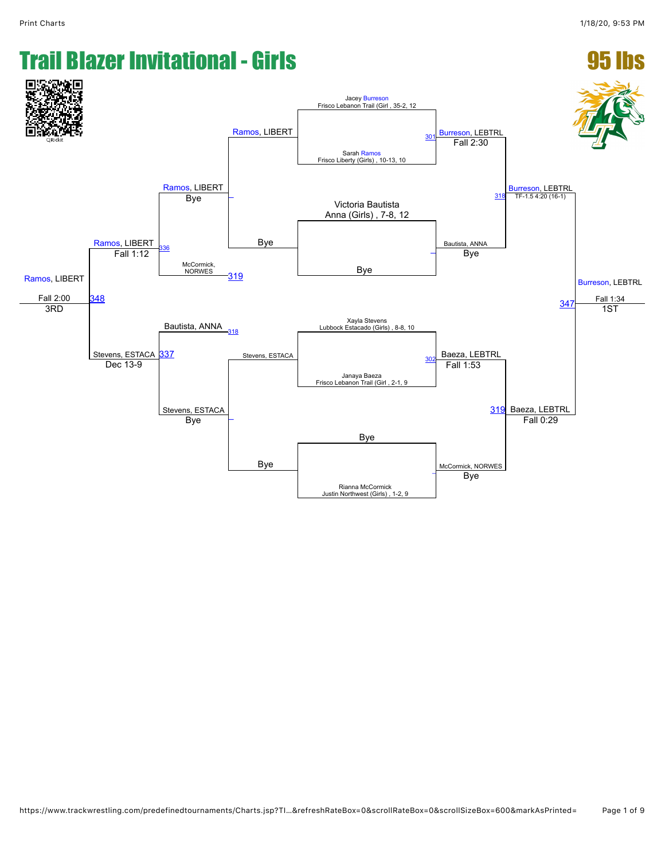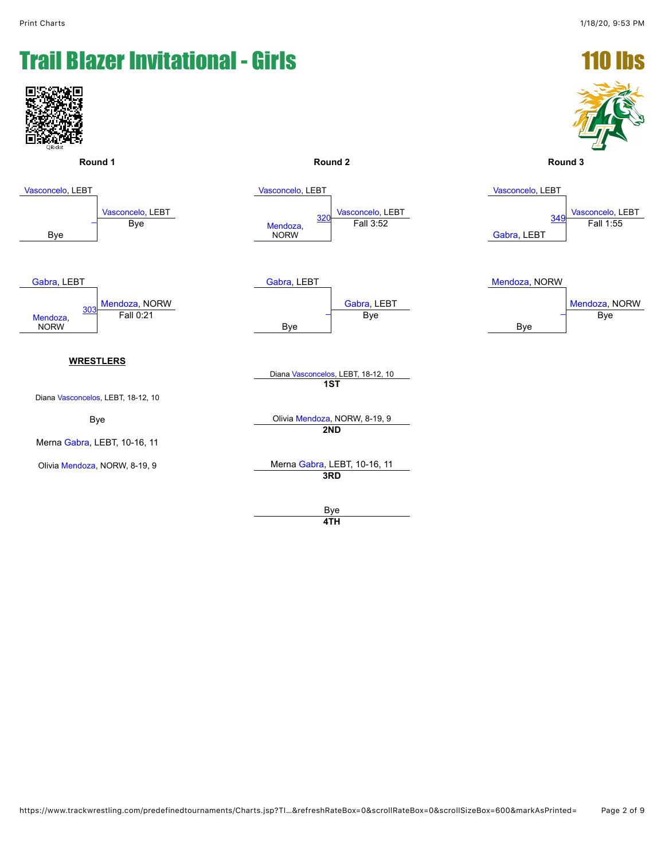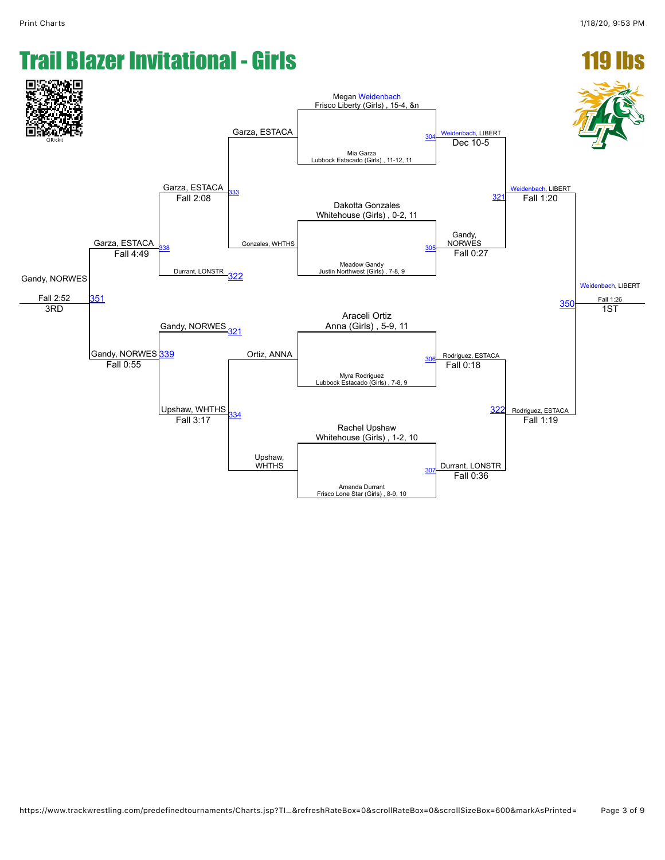## **Trail Blazer Invitational - Girls** Garza, ESTACA Megan [Weidenbach](javascript:viewProfile(616315132))<br>Frisco Liberty (Girls) , 15-4, &n

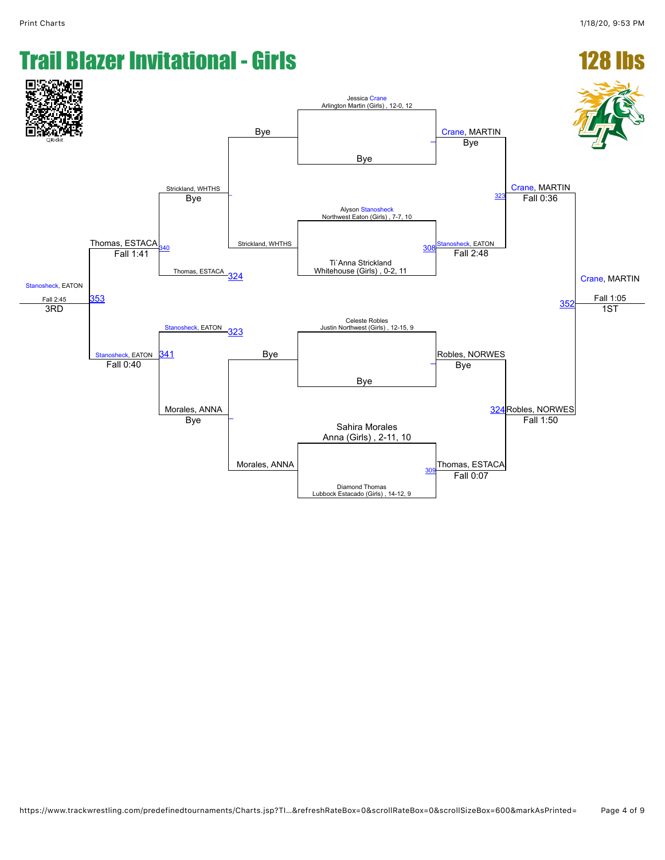#### **Trail Blazer Invitational - Girls** [Stanosheck,](javascript:viewProfile(1429187132)) EATON Fall 2:45 Thomas, ESTACA Strickland, WHTHS Bye Jessica [Crane](javascript:viewProfile(1009667009))<br>Arlington Martin (Girls) , 12-0, 12 [Crane,](javascript:viewProfile(1009667009)) MARTIN [Crane,](javascript:viewProfile(1009667009)) MARTIN [Crane,](javascript:viewProfile(1009667009)) MARTIN Fall 1:05 Bye [\\_](javascript:openBoutSheet(1,)  $\overline{\phantom{a}}$ Strickland, WHTHS Bye Alyson [Stanosheck](javascript:viewProfile(1429187132)) Northwest Eaton (Girls) , 7-7, 10 Bye anosheck, EATON [323](javascript:openBoutSheet(5,) Fall 0:36  $40$ Thomas, ESTACA Ti`Anna Strickland Whitehouse (Girls), 0-2, 11 **30** [353](javascript:openBoutSheet(12,) Fall 1:41 [324](javascript:openBoutSheet(7,) Fall 2:48  $35<sub>2</sub>$ [Stanosheck,](javascript:viewProfile(1429187132)) EATON [323](javascript:openBoutSheet(5,) Celeste Robles Justin Northwest (Girls) , 12-15, 9 3RD nosheck, EATON<br>Fall 0:40 Bye Robles, NORWES 1ST [341](javascript:openBoutSheet(10,) Bye  $\frac{\text{Falsileck, LATION} \quad \text{CFT}}{\text{Fall 0:40}}$ Morales, ANNA [\\_](javascript:openBoutSheet(8,) Morales, ANNA Bye [324](javascript:openBoutSheet(7,) Robles, NORWES Sahira Morales Anna (Girls) , 2-11, 10 Bye Thomas, ESTACA Fall 1:50 Diamond Thomas Lubbock Estacado (Girls) , 14-12, 9 <u>[309](javascript:openBoutSheet(4,)</u> Homas, ESTA<br>Fall 0:07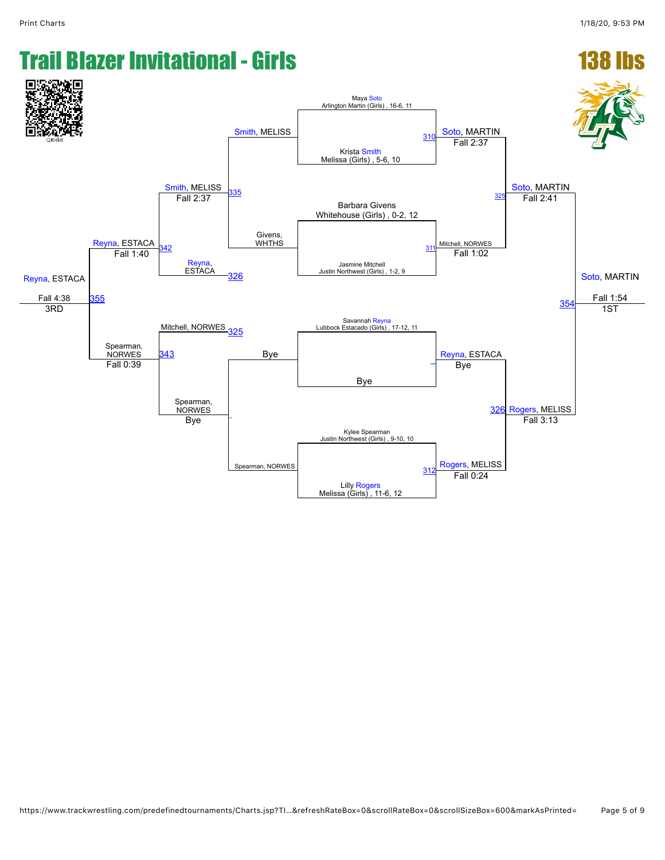#### **Trail Blazer Invitational - Girls** [Reyna,](javascript:viewProfile(279378132)) ESTACA Fall 4:38 [Reyna,](javascript:viewProfile(279378132)) ESTACA [Smith,](javascript:viewProfile(913860132)) MELISS [Smith,](javascript:viewProfile(913860132)) MELISS Maya [Soto](javascript:viewProfile(660831009))<br>Arlington Martin (Girls) , 16-6, 11 [Soto](javascript:viewProfile(660831009)), MARTIN [Soto](javascript:viewProfile(660831009)), MARTIN [Soto](javascript:viewProfile(660831009)), MARTIN Fall 1:54 Krista [Smith](javascript:viewProfile(913860132)) Melissa (Girls) , 5-6, 10  $310$  $35$ Givens, WHTHS Fall 2:37 Barbara Givens Whitehouse (Girls) , 0-2, 12 Fall 2:37 Mitchell, NORWES [325](javascript:openBoutSheet(5,) Fall 2:41 [342](javascript:openBoutSheet(9,) [Reyna](javascript:viewProfile(279378132)),<br>ESTACA ESTACA Jasmine Mitchell Justin Northwest (Girls) , 1-2, 9 [311](javascript:openBoutSheet(2,) [355](javascript:openBoutSheet(12,) Fall 1:40 [326](javascript:openBoutSheet(7,) Fall 1:02 [354](javascript:openBoutSheet(11,) Savannah [Reyna](javascript:viewProfile(279378132))<br>Mitchell, NORWES [325](javascript:openBoutSheet(5,) Mitchell, NORWES 325 Mitchell, NORWES 325 Mitchell, NORWES 325 M Savannah Reyna<br>Lubbock Estacado (Girls), 17-12, 11 3RD Spearman, **NORWES** Bye [Reyna,](javascript:viewProfile(279378132)) ESTACA 1ST [343](javascript:openBoutSheet(10,) Bye  $\frac{1}{2}$  Fall 0:39 Spearman, NORWES [\\_](javascript:openBoutSheet(8,) Spearman, NORWES Bye [326](javascript:openBoutSheet(7,) [Rogers,](javascript:viewProfile(401239132)) MELISS Kylee Spearman Justin Northwest (Girls) , 9-10, 10 Bye [Rogers,](javascript:viewProfile(401239132)) MELISS Fall 3:13 Lilly <mark>[Rogers](javascript:viewProfile(401239132))</mark><br>Melissa (Girls) , 11-6, 12 [312](javascript:openBoutSheet(4,) **Rogers**, MELI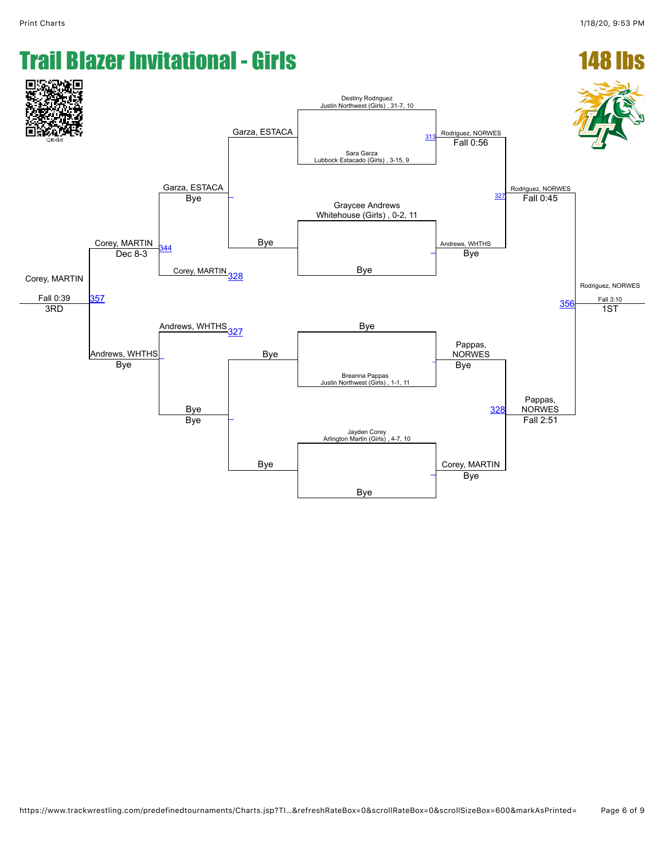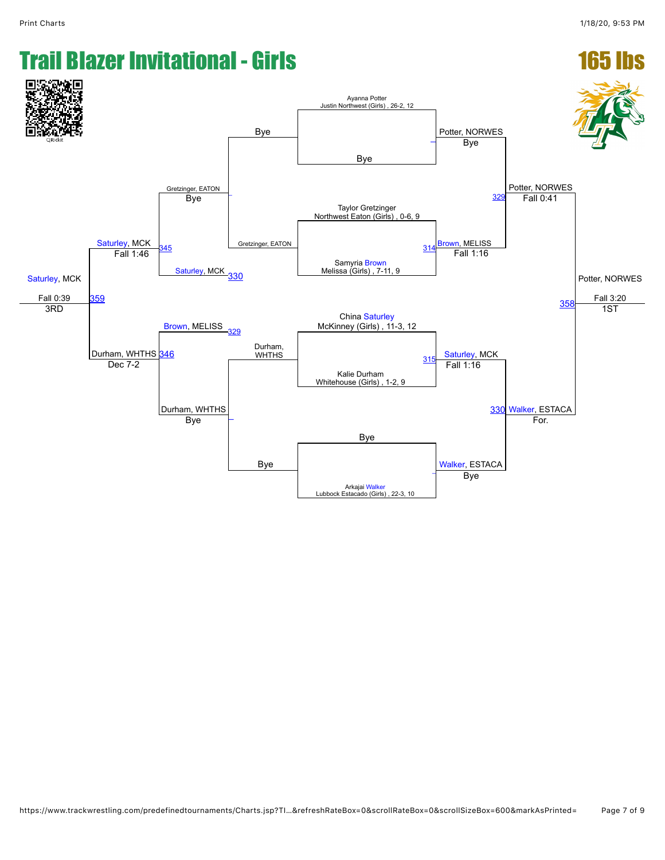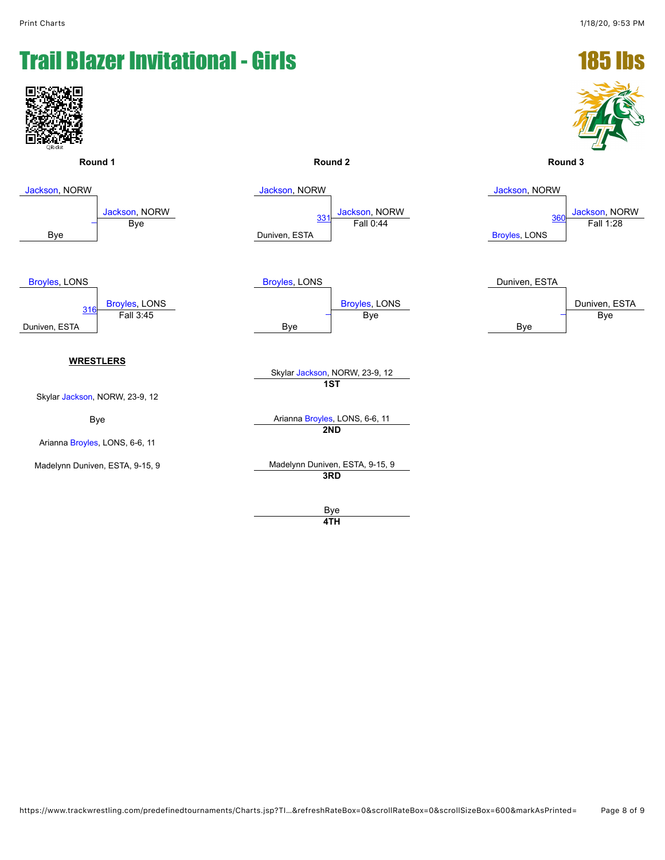

**4TH**